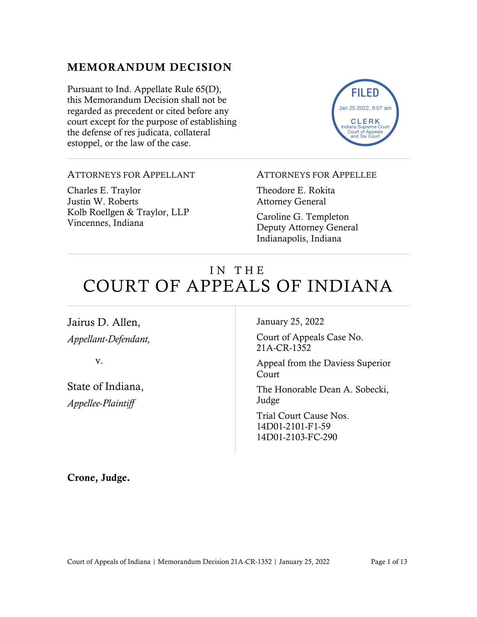## MEMORANDUM DECISION

Pursuant to Ind. Appellate Rule 65(D), this Memorandum Decision shall not be regarded as precedent or cited before any court except for the purpose of establishing the defense of res judicata, collateral estoppel, or the law of the case.



#### ATTORNEYS FOR APPELLANT

Charles E. Traylor Justin W. Roberts Kolb Roellgen & Traylor, LLP Vincennes, Indiana

#### ATTORNEYS FOR APPELLEE

Theodore E. Rokita Attorney General

Caroline G. Templeton Deputy Attorney General Indianapolis, Indiana

# IN THE COURT OF APPEALS OF INDIANA

Jairus D. Allen, *Appellant-Defendant,*

v.

State of Indiana, *Appellee-Plaintiff*

January 25, 2022

Court of Appeals Case No. 21A-CR-1352

Appeal from the Daviess Superior Court

The Honorable Dean A. Sobecki, Judge

Trial Court Cause Nos. 14D01-2101-F1-59 14D01-2103-FC-290

Crone, Judge.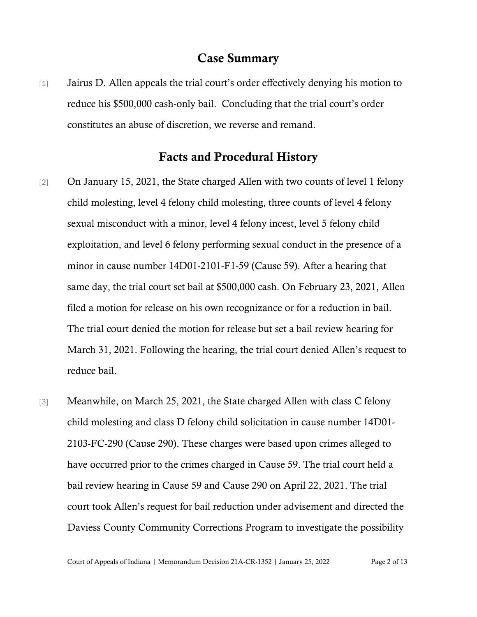#### Case Summary

[1] Jairus D. Allen appeals the trial court's order effectively denying his motion to reduce his \$500,000 cash-only bail. Concluding that the trial court's order constitutes an abuse of discretion, we reverse and remand.

### Facts and Procedural History

- [2] On January 15, 2021, the State charged Allen with two counts of level 1 felony child molesting, level 4 felony child molesting, three counts of level 4 felony sexual misconduct with a minor, level 4 felony incest, level 5 felony child exploitation, and level 6 felony performing sexual conduct in the presence of a minor in cause number 14D01-2101-F1-59 (Cause 59). After a hearing that same day, the trial court set bail at \$500,000 cash. On February 23, 2021, Allen filed a motion for release on his own recognizance or for a reduction in bail. The trial court denied the motion for release but set a bail review hearing for March 31, 2021. Following the hearing, the trial court denied Allen's request to reduce bail.
- [3] Meanwhile, on March 25, 2021, the State charged Allen with class C felony child molesting and class D felony child solicitation in cause number 14D01- 2103-FC-290 (Cause 290). These charges were based upon crimes alleged to have occurred prior to the crimes charged in Cause 59. The trial court held a bail review hearing in Cause 59 and Cause 290 on April 22, 2021. The trial court took Allen's request for bail reduction under advisement and directed the Daviess County Community Corrections Program to investigate the possibility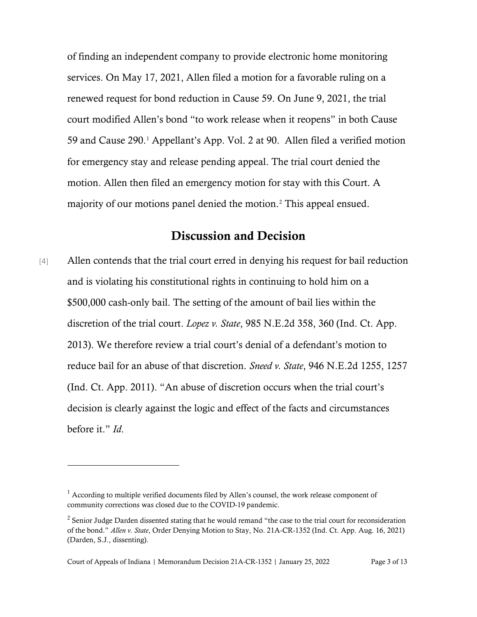of finding an independent company to provide electronic home monitoring services. On May 17, 2021, Allen filed a motion for a favorable ruling on a renewed request for bond reduction in Cause 59. On June 9, 2021, the trial court modified Allen's bond "to work release when it reopens" in both Cause 59 and Cause 290. [1](#page-2-0) Appellant's App. Vol. 2 at 90. Allen filed a verified motion for emergency stay and release pending appeal. The trial court denied the motion. Allen then filed an emergency motion for stay with this Court. A majority of our motions panel denied the motion.[2](#page-2-1) This appeal ensued.

## Discussion and Decision

[4] Allen contends that the trial court erred in denying his request for bail reduction and is violating his constitutional rights in continuing to hold him on a \$500,000 cash-only bail. The setting of the amount of bail lies within the discretion of the trial court. *Lopez v. State*, 985 N.E.2d 358, 360 (Ind. Ct. App. 2013). We therefore review a trial court's denial of a defendant's motion to reduce bail for an abuse of that discretion. *Sneed v. State*, 946 N.E.2d 1255, 1257 (Ind. Ct. App. 2011). "An abuse of discretion occurs when the trial court's decision is clearly against the logic and effect of the facts and circumstances before it." *Id*.

<span id="page-2-0"></span> $<sup>1</sup>$  According to multiple verified documents filed by Allen's counsel, the work release component of</sup> community corrections was closed due to the COVID-19 pandemic.

<span id="page-2-1"></span><sup>&</sup>lt;sup>2</sup> Senior Judge Darden dissented stating that he would remand "the case to the trial court for reconsideration of the bond." *Allen v. State*, Order Denying Motion to Stay, No. 21A-CR-1352 (Ind. Ct. App. Aug. 16, 2021) (Darden, S.J., dissenting).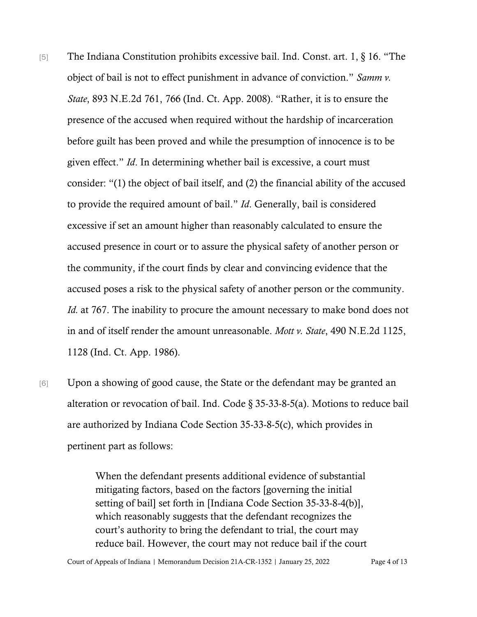- [5] The Indiana Constitution prohibits excessive bail. Ind. Const. art. 1, § 16. "The object of bail is not to effect punishment in advance of conviction." *Samm v. State*, 893 N.E.2d 761, 766 (Ind. Ct. App. 2008). "Rather, it is to ensure the presence of the accused when required without the hardship of incarceration before guilt has been proved and while the presumption of innocence is to be given effect." *Id*. In determining whether bail is excessive, a court must consider: "(1) the object of bail itself, and (2) the financial ability of the accused to provide the required amount of bail." *Id*. Generally, bail is considered excessive if set an amount higher than reasonably calculated to ensure the accused presence in court or to assure the physical safety of another person or the community, if the court finds by clear and convincing evidence that the accused poses a risk to the physical safety of another person or the community. *Id.* at 767. The inability to procure the amount necessary to make bond does not in and of itself render the amount unreasonable. *Mott v. State*, 490 N.E.2d 1125, 1128 (Ind. Ct. App. 1986).
- [6] Upon a showing of good cause, the State or the defendant may be granted an alteration or revocation of bail. Ind. Code  $\S$  35-33-8-5(a). Motions to reduce bail are authorized by Indiana Code Section 35-33-8-5(c), which provides in pertinent part as follows:

When the defendant presents additional evidence of substantial mitigating factors, based on the factors [governing the initial setting of bail] set forth in [Indiana Code Section 35-33-8-4(b)], which reasonably suggests that the defendant recognizes the court's authority to bring the defendant to trial, the court may reduce bail. However, the court may not reduce bail if the court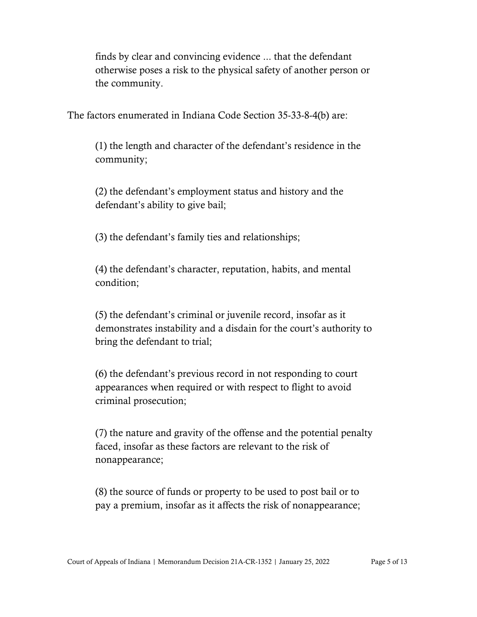finds by clear and convincing evidence ... that the defendant otherwise poses a risk to the physical safety of another person or the community.

The factors enumerated in Indiana Code Section 35-33-8-4(b) are:

(1) the length and character of the defendant's residence in the community;

(2) the defendant's employment status and history and the defendant's ability to give bail;

(3) the defendant's family ties and relationships;

(4) the defendant's character, reputation, habits, and mental condition;

(5) the defendant's criminal or juvenile record, insofar as it demonstrates instability and a disdain for the court's authority to bring the defendant to trial;

(6) the defendant's previous record in not responding to court appearances when required or with respect to flight to avoid criminal prosecution;

(7) the nature and gravity of the offense and the potential penalty faced, insofar as these factors are relevant to the risk of nonappearance;

(8) the source of funds or property to be used to post bail or to pay a premium, insofar as it affects the risk of nonappearance;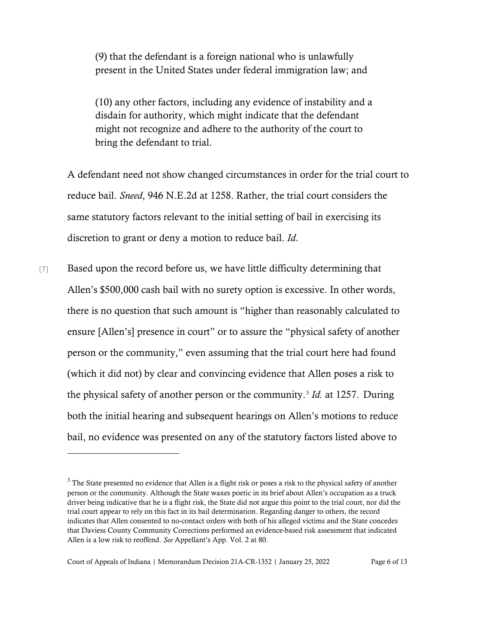(9) that the defendant is a foreign national who is unlawfully present in the United States under federal immigration law; and

(10) any other factors, including any evidence of instability and a disdain for authority, which might indicate that the defendant might not recognize and adhere to the authority of the court to bring the defendant to trial.

A defendant need not show changed circumstances in order for the trial court to reduce bail. *Sneed*, 946 N.E.2d at 1258. Rather, the trial court considers the same statutory factors relevant to the initial setting of bail in exercising its discretion to grant or deny a motion to reduce bail. *Id*.

[7] Based upon the record before us, we have little difficulty determining that Allen's \$500,000 cash bail with no surety option is excessive. In other words, there is no question that such amount is "higher than reasonably calculated to ensure [Allen's] presence in court" or to assure the "physical safety of another person or the community," even assuming that the trial court here had found (which it did not) by clear and convincing evidence that Allen poses a risk to the physical safety of another person or the community. [3](#page-5-0) *Id.* at 1257. During both the initial hearing and subsequent hearings on Allen's motions to reduce bail, no evidence was presented on any of the statutory factors listed above to

<span id="page-5-0"></span> $3$  The State presented no evidence that Allen is a flight risk or poses a risk to the physical safety of another person or the community. Although the State waxes poetic in its brief about Allen's occupation as a truck driver being indicative that he is a flight risk, the State did not argue this point to the trial court, nor did the trial court appear to rely on this fact in its bail determination. Regarding danger to others, the record indicates that Allen consented to no-contact orders with both of his alleged victims and the State concedes that Daviess County Community Corrections performed an evidence-based risk assessment that indicated Allen is a low risk to reoffend. *See* Appellant's App. Vol. 2 at 80.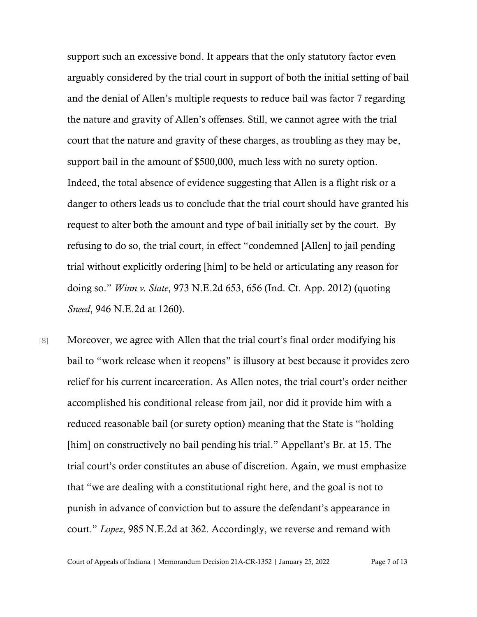support such an excessive bond. It appears that the only statutory factor even arguably considered by the trial court in support of both the initial setting of bail and the denial of Allen's multiple requests to reduce bail was factor 7 regarding the nature and gravity of Allen's offenses. Still, we cannot agree with the trial court that the nature and gravity of these charges, as troubling as they may be, support bail in the amount of \$500,000, much less with no surety option. Indeed, the total absence of evidence suggesting that Allen is a flight risk or a danger to others leads us to conclude that the trial court should have granted his request to alter both the amount and type of bail initially set by the court. By refusing to do so, the trial court, in effect "condemned [Allen] to jail pending trial without explicitly ordering [him] to be held or articulating any reason for doing so." *Winn v. State*, 973 N.E.2d 653, 656 (Ind. Ct. App. 2012) (quoting *Sneed*, 946 N.E.2d at 1260).

[8] Moreover, we agree with Allen that the trial court's final order modifying his bail to "work release when it reopens" is illusory at best because it provides zero relief for his current incarceration. As Allen notes, the trial court's order neither accomplished his conditional release from jail, nor did it provide him with a reduced reasonable bail (or surety option) meaning that the State is "holding [him] on constructively no bail pending his trial." Appellant's Br. at 15. The trial court's order constitutes an abuse of discretion. Again, we must emphasize that "we are dealing with a constitutional right here, and the goal is not to punish in advance of conviction but to assure the defendant's appearance in court." *Lopez*, 985 N.E.2d at 362. Accordingly, we reverse and remand with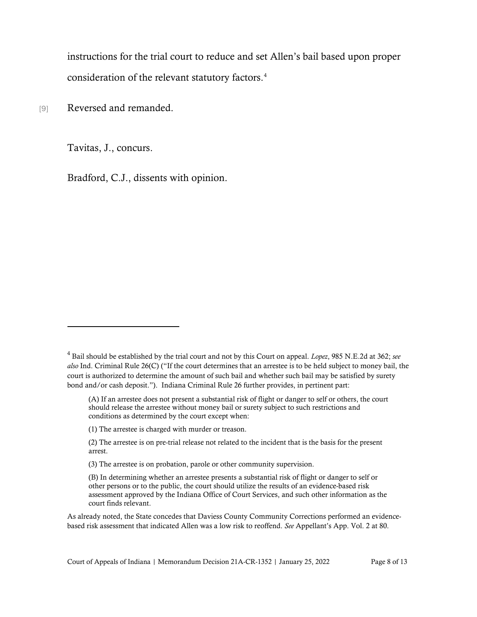instructions for the trial court to reduce and set Allen's bail based upon proper consideration of the relevant statutory factors. [4](#page-7-0)

[9] Reversed and remanded.

Tavitas, J., concurs.

Bradford, C.J., dissents with opinion.

<span id="page-7-0"></span><sup>4</sup> Bail should be established by the trial court and not by this Court on appeal. *Lopez*, 985 N.E.2d at 362; *see also* Ind. Criminal Rule 26(C) ("If the court determines that an arrestee is to be held subject to money bail, the court is authorized to determine the amount of such bail and whether such bail may be satisfied by surety bond and/or cash deposit."). Indiana Criminal Rule 26 further provides, in pertinent part:

<sup>(</sup>A) If an arrestee does not present a substantial risk of flight or danger to self or others, the court should release the arrestee without money bail or surety subject to such restrictions and conditions as determined by the court except when:

<sup>(1)</sup> The arrestee is charged with murder or treason.

<sup>(2)</sup> The arrestee is on pre-trial release not related to the incident that is the basis for the present arrest.

<sup>(3)</sup> The arrestee is on probation, parole or other community supervision.

<sup>(</sup>B) In determining whether an arrestee presents a substantial risk of flight or danger to self or other persons or to the public, the court should utilize the results of an evidence-based risk assessment approved by the Indiana Office of Court Services, and such other information as the court finds relevant.

As already noted, the State concedes that Daviess County Community Corrections performed an evidencebased risk assessment that indicated Allen was a low risk to reoffend. *See* Appellant's App. Vol. 2 at 80.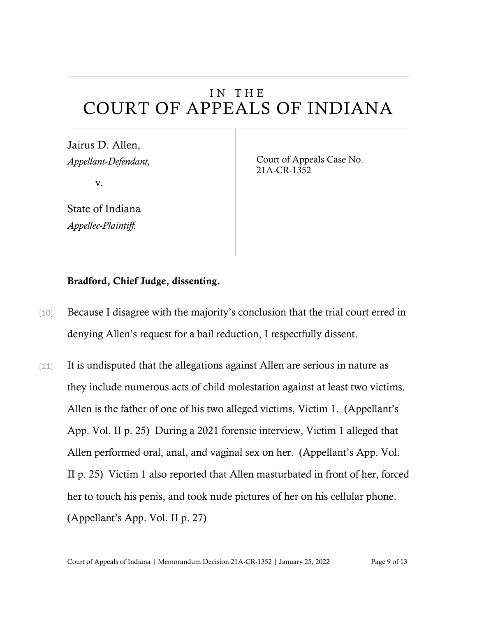# IN THE COURT OF APPEALS OF INDIANA

Jairus D. Allen, *Appellant-Defendant,*

v.

State of Indiana *Appellee-Plaintiff.*

Court of Appeals Case No. 21A-CR-1352

### Bradford, Chief Judge, dissenting.

- [10] Because I disagree with the majority's conclusion that the trial court erred in denying Allen's request for a bail reduction, I respectfully dissent.
- [11] It is undisputed that the allegations against Allen are serious in nature as they include numerous acts of child molestation against at least two victims. Allen is the father of one of his two alleged victims, Victim 1. (Appellant's App. Vol. II p. 25) During a 2021 forensic interview, Victim 1 alleged that Allen performed oral, anal, and vaginal sex on her. (Appellant's App. Vol. II p. 25) Victim 1 also reported that Allen masturbated in front of her, forced her to touch his penis, and took nude pictures of her on his cellular phone. (Appellant's App. Vol. II p. 27)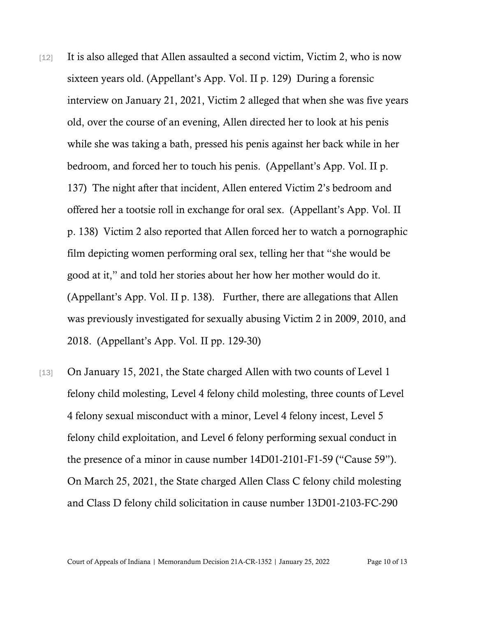- [12] It is also alleged that Allen assaulted a second victim, Victim 2, who is now sixteen years old. (Appellant's App. Vol. II p. 129) During a forensic interview on January 21, 2021, Victim 2 alleged that when she was five years old, over the course of an evening, Allen directed her to look at his penis while she was taking a bath, pressed his penis against her back while in her bedroom, and forced her to touch his penis. (Appellant's App. Vol. II p. 137) The night after that incident, Allen entered Victim 2's bedroom and offered her a tootsie roll in exchange for oral sex. (Appellant's App. Vol. II p. 138) Victim 2 also reported that Allen forced her to watch a pornographic film depicting women performing oral sex, telling her that "she would be good at it," and told her stories about her how her mother would do it. (Appellant's App. Vol. II p. 138). Further, there are allegations that Allen was previously investigated for sexually abusing Victim 2 in 2009, 2010, and 2018. (Appellant's App. Vol. II pp. 129-30)
- [13] On January 15, 2021, the State charged Allen with two counts of Level 1 felony child molesting, Level 4 felony child molesting, three counts of Level 4 felony sexual misconduct with a minor, Level 4 felony incest, Level 5 felony child exploitation, and Level 6 felony performing sexual conduct in the presence of a minor in cause number 14D01-2101-F1-59 ("Cause 59"). On March 25, 2021, the State charged Allen Class C felony child molesting and Class D felony child solicitation in cause number 13D01-2103-FC-290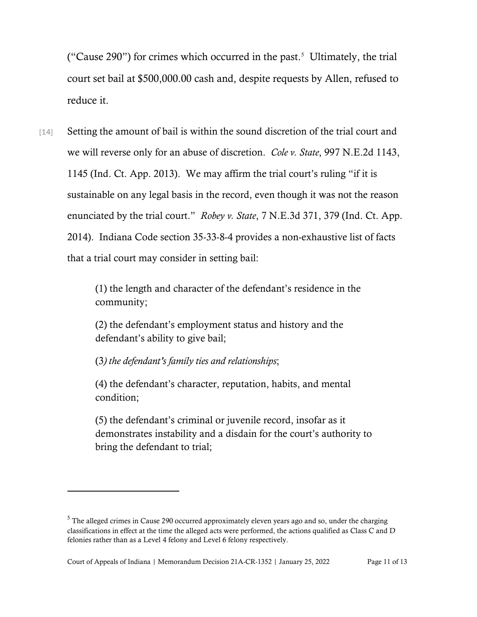("Cause 290") for crimes which occurred in the past.<sup>[5](#page-10-0)</sup> Ultimately, the trial court set bail at \$500,000.00 cash and, despite requests by Allen, refused to reduce it.

[14] Setting the amount of bail is within the sound discretion of the trial court and we will reverse only for an abuse of discretion. *Cole v. State*, 997 N.E.2d 1143, 1145 (Ind. Ct. App. 2013). We may affirm the trial court's ruling "if it is sustainable on any legal basis in the record, even though it was not the reason enunciated by the trial court." *Robey v. State*, 7 N.E.3d 371, 379 (Ind. Ct. App. 2014). Indiana Code section 35-33-8-4 provides a non-exhaustive list of facts that a trial court may consider in setting bail:

> (1) the length and character of the defendant's residence in the community;

(2) the defendant's employment status and history and the defendant's ability to give bail;

(3*) the defendant's family ties and relationships*;

(4) the defendant's character, reputation, habits, and mental condition;

(5) the defendant's criminal or juvenile record, insofar as it demonstrates instability and a disdain for the court's authority to bring the defendant to trial;

<span id="page-10-0"></span><sup>&</sup>lt;sup>5</sup> The alleged crimes in Cause 290 occurred approximately eleven years ago and so, under the charging classifications in effect at the time the alleged acts were performed, the actions qualified as Class C and D felonies rather than as a Level 4 felony and Level 6 felony respectively.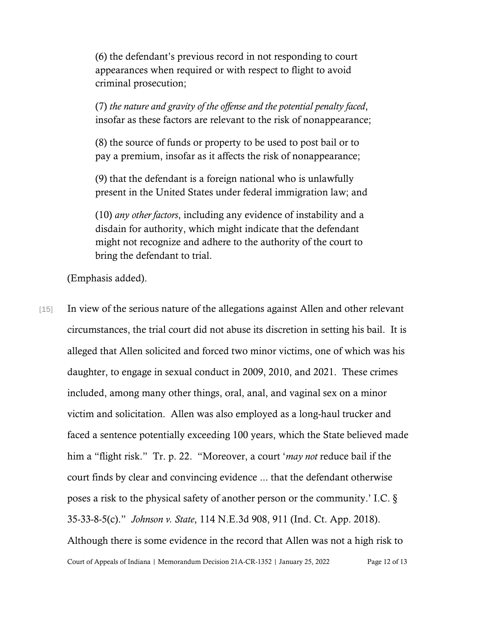(6) the defendant's previous record in not responding to court appearances when required or with respect to flight to avoid criminal prosecution;

(7) *the nature and gravity of the offense and the potential penalty faced*, insofar as these factors are relevant to the risk of nonappearance;

(8) the source of funds or property to be used to post bail or to pay a premium, insofar as it affects the risk of nonappearance;

(9) that the defendant is a foreign national who is unlawfully present in the United States under federal immigration law; and

(10) *any other factors*, including any evidence of instability and a disdain for authority, which might indicate that the defendant might not recognize and adhere to the authority of the court to bring the defendant to trial.

(Emphasis added).

Court of Appeals of Indiana | Memorandum Decision 21A-CR-1352 | January 25, 2022 Page 12 of 13 [15] In view of the serious nature of the allegations against Allen and other relevant circumstances, the trial court did not abuse its discretion in setting his bail. It is alleged that Allen solicited and forced two minor victims, one of which was his daughter, to engage in sexual conduct in 2009, 2010, and 2021. These crimes included, among many other things, oral, anal, and vaginal sex on a minor victim and solicitation. Allen was also employed as a long-haul trucker and faced a sentence potentially exceeding 100 years, which the State believed made him a "flight risk." Tr. p. 22. "Moreover, a court '*may not* reduce bail if the court finds by clear and convincing evidence ... that the defendant otherwise poses a risk to the physical safety of another person or the community.' I.C. § 35-33-8-5(c)." *Johnson v. State*, 114 N.E.3d 908, 911 (Ind. Ct. App. 2018). Although there is some evidence in the record that Allen was not a high risk to